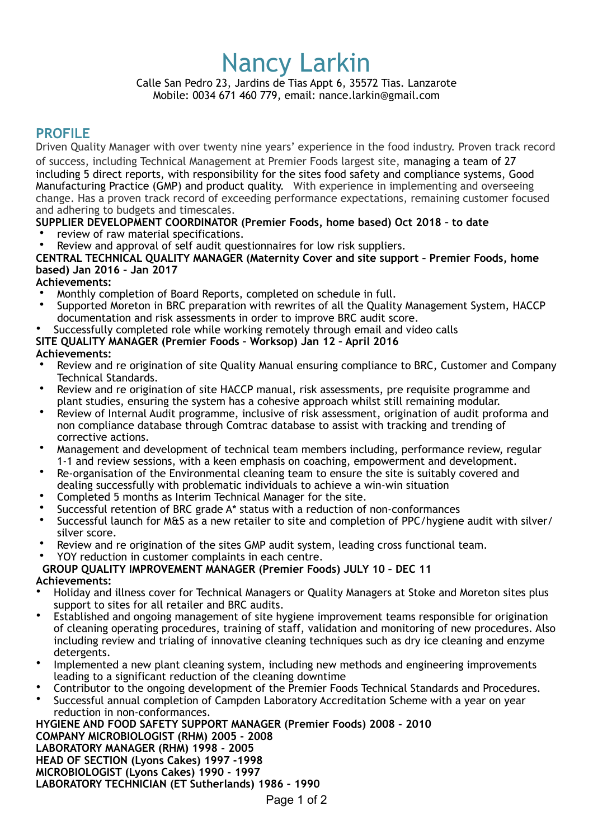# Nancy Larkin

Calle San Pedro 23, Jardins de Tias Appt 6, 35572 Tias. Lanzarote Mobile: 0034 671 460 779, email: nance.larkin@gmail.com

## **PROFILE**

Driven Quality Manager with over twenty nine years' experience in the food industry. Proven track record of success, including Technical Management at Premier Foods largest site, managing a team of 27 including 5 direct reports, with responsibility for the sites food safety and compliance systems, Good Manufacturing Practice (GMP) and product quality. With experience in implementing and overseeing change. Has a proven track record of exceeding performance expectations, remaining customer focused and adhering to budgets and timescales.

## **SUPPLIER DEVELOPMENT COORDINATOR (Premier Foods, home based) Oct 2018 – to date**

- review of raw material specifications.
- Review and approval of self audit questionnaires for low risk suppliers.

#### **CENTRAL TECHNICAL QUALITY MANAGER (Maternity Cover and site support – Premier Foods, home based) Jan 2016 – Jan 2017**

### **Achievements:**

- Monthly completion of Board Reports, completed on schedule in full.
- Supported Moreton in BRC preparation with rewrites of all the Quality Management System, HACCP documentation and risk assessments in order to improve BRC audit score.

### • Successfully completed role while working remotely through email and video calls

### **SITE QUALITY MANAGER (Premier Foods – Worksop) Jan 12 – April 2016**

### **Achievements:**

- Review and re origination of site Quality Manual ensuring compliance to BRC, Customer and Company Technical Standards.
- Review and re origination of site HACCP manual, risk assessments, pre requisite programme and plant studies, ensuring the system has a cohesive approach whilst still remaining modular.
- Review of Internal Audit programme, inclusive of risk assessment, origination of audit proforma and non compliance database through Comtrac database to assist with tracking and trending of corrective actions.
- Management and development of technical team members including, performance review, regular 1-1 and review sessions, with a keen emphasis on coaching, empowerment and development.
- Re-organisation of the Environmental cleaning team to ensure the site is suitably covered and dealing successfully with problematic individuals to achieve a win-win situation
- Completed 5 months as Interim Technical Manager for the site.
- Successful retention of BRC grade A\* status with a reduction of non-conformances
- Successful launch for M&S as a new retailer to site and completion of PPC/hygiene audit with silver/ silver score.
- Review and re origination of the sites GMP audit system, leading cross functional team.

#### • YOY reduction in customer complaints in each centre.

#### **GROUP QUALITY IMPROVEMENT MANAGER (Premier Foods) JULY 10 – DEC 11**

#### **Achievements:**

- Holiday and illness cover for Technical Managers or Quality Managers at Stoke and Moreton sites plus support to sites for all retailer and BRC audits.
- Established and ongoing management of site hygiene improvement teams responsible for origination of cleaning operating procedures, training of staff, validation and monitoring of new procedures. Also including review and trialing of innovative cleaning techniques such as dry ice cleaning and enzyme detergents.
- Implemented a new plant cleaning system, including new methods and engineering improvements leading to a significant reduction of the cleaning downtime
- Contributor to the ongoing development of the Premier Foods Technical Standards and Procedures.
- Successful annual completion of Campden Laboratory Accreditation Scheme with a year on year reduction in non-conformances.

#### **HYGIENE AND FOOD SAFETY SUPPORT MANAGER (Premier Foods) 2008 - 2010 COMPANY MICROBIOLOGIST (RHM) 2005 - 2008 LABORATORY MANAGER (RHM) 1998 - 2005 HEAD OF SECTION (Lyons Cakes) 1997 -1998 MICROBIOLOGIST (Lyons Cakes) 1990 - 1997 LABORATORY TECHNICIAN (ET Sutherlands) 1986 – 1990**